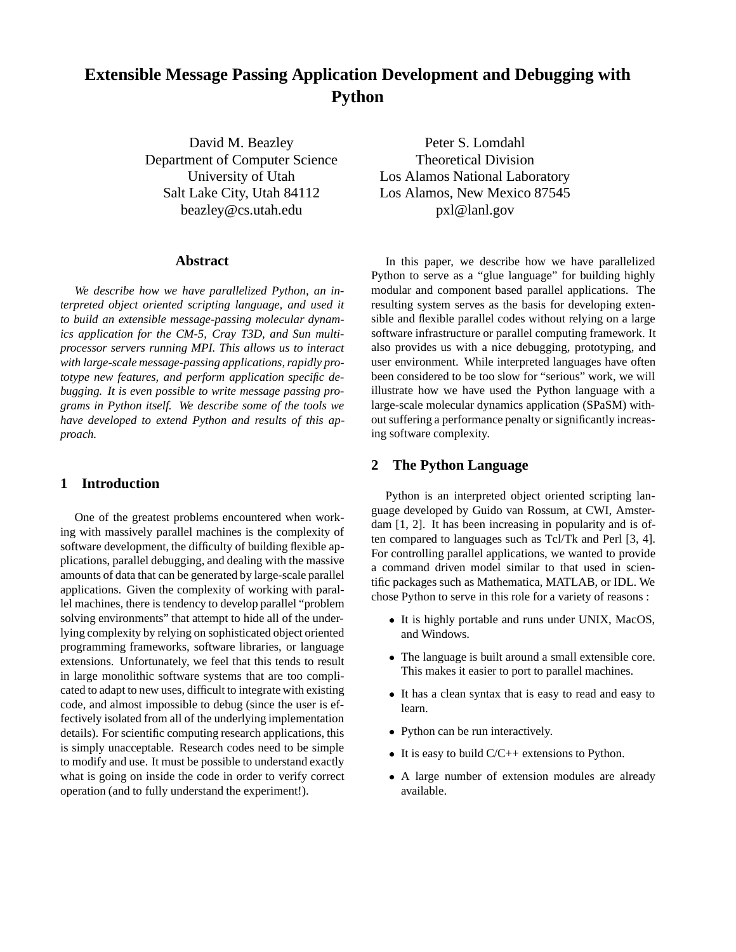# **Extensible Message Passing Application Development and Debugging with Python**

David M. Beazley Department of Computer Science University of Utah Salt Lake City, Utah 84112 beazley@cs.utah.edu

#### **Abstract**

*We describe how we have parallelized Python, an interpreted object oriented scripting language, and used it to build an extensible message-passing molecular dynamics application for the CM-5, Cray T3D, and Sun multiprocessor servers running MPI. This allows us to interact with large-scale message-passing applications, rapidly prototype new features, and perform application specific debugging. It is even possible to write message passing programs in Python itself. We describe some of the tools we have developed to extend Python and results of this approach.*

## **1 Introduction**

One of the greatest problems encountered when working with massively parallel machines is the complexity of software development, the difficulty of building flexible applications, parallel debugging, and dealing with the massive amounts of data that can be generated by large-scale parallel applications. Given the complexity of working with parallel machines, there is tendency to develop parallel "problem solving environments" that attempt to hide all of the underlying complexity by relying on sophisticated object oriented programming frameworks, software libraries, or language extensions. Unfortunately, we feel that this tends to result in large monolithic software systems that are too complicated to adapt to new uses, difficult to integrate with existing code, and almost impossible to debug (since the user is effectively isolated from all of the underlying implementation details). For scientific computing research applications, this is simply unacceptable. Research codes need to be simple to modify and use. It must be possible to understand exactly what is going on inside the code in order to verify correct operation (and to fully understand the experiment!).

Peter S. Lomdahl Theoretical Division Los Alamos National Laboratory Los Alamos, New Mexico 87545 pxl@lanl.gov

In this paper, we describe how we have parallelized Python to serve as a "glue language" for building highly modular and component based parallel applications. The resulting system serves as the basis for developing extensible and flexible parallel codes without relying on a large software infrastructure or parallel computing framework. It also provides us with a nice debugging, prototyping, and user environment. While interpreted languages have often been considered to be too slow for "serious" work, we will illustrate how we have used the Python language with a large-scale molecular dynamics application (SPaSM) without suffering a performance penalty or significantly increasing software complexity.

## **2 The Python Language**

Python is an interpreted object oriented scripting language developed by Guido van Rossum, at CWI, Amsterdam [1, 2]. It has been increasing in popularity and is often compared to languages such as Tcl/Tk and Perl [3, 4]. For controlling parallel applications, we wanted to provide a command driven model similar to that used in scientific packages such as Mathematica, MATLAB, or IDL. We chose Python to serve in this role for a variety of reasons :

- It is highly portable and runs under UNIX, MacOS, and Windows.
- The language is built around a small extensible core. This makes it easier to port to parallel machines.
- It has a clean syntax that is easy to read and easy to learn.
- Python can be run interactively.
- It is easy to build  $C/C++$  extensions to Python.
- A large number of extension modules are already available.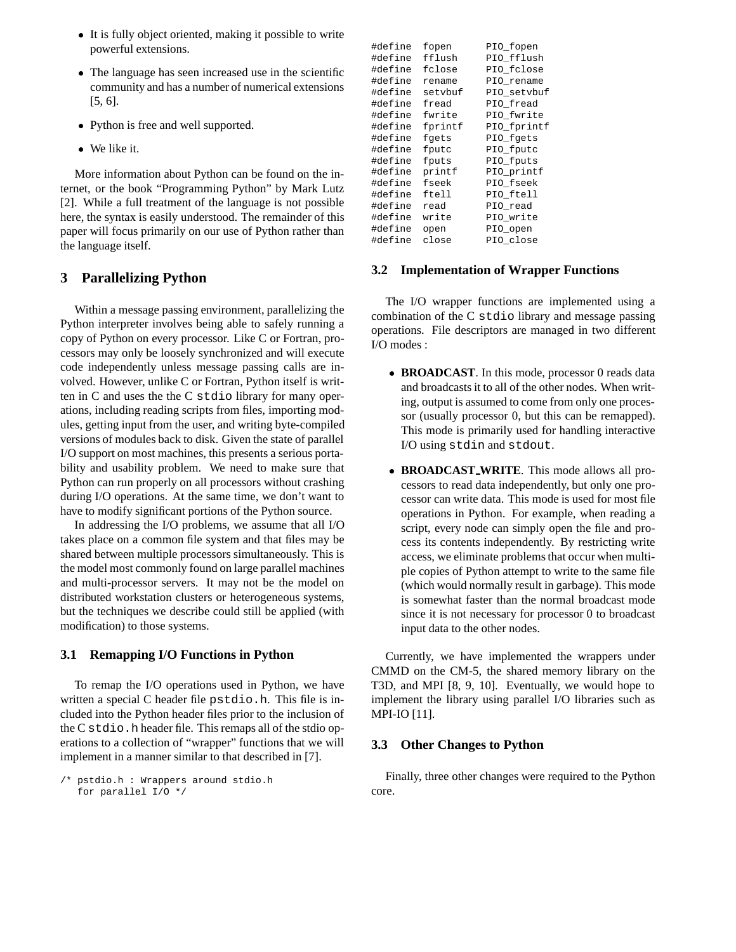- It is fully object oriented, making it possible to write powerful extensions.
- The language has seen increased use in the scientific community and has a number of numerical extensions [5, 6].
- Python is free and well supported.
- We like it.

More information about Python can be found on the internet, or the book "Programming Python" by Mark Lutz [2]. While a full treatment of the language is not possible here, the syntax is easily understood. The remainder of this paper will focus primarily on our use of Python rather than the language itself.

# **3 Parallelizing Python**

Within a message passing environment, parallelizing the Python interpreter involves being able to safely running a copy of Python on every processor. Like C or Fortran, processors may only be loosely synchronized and will execute code independently unless message passing calls are involved. However, unlike C or Fortran, Python itself is written in C and uses the the C stdio library for many operations, including reading scripts from files, importing modules, getting input from the user, and writing byte-compiled versions of modules back to disk. Given the state of parallel I/O support on most machines, this presents a serious portability and usability problem. We need to make sure that Python can run properly on all processors without crashing during I/O operations. At the same time, we don't want to have to modify significant portions of the Python source.

In addressing the I/O problems, we assume that all I/O takes place on a common file system and that files may be shared between multiple processors simultaneously. This is the model most commonly found on large parallel machines and multi-processor servers. It may not be the model on distributed workstation clusters or heterogeneous systems, but the techniques we describe could still be applied (with modification) to those systems.

# **3.1 Remapping I/O Functions in Python**

To remap the I/O operations used in Python, we have written a special C header file pstdio.h. This file is included into the Python header files prior to the inclusion of the C stdio.h header file. This remaps all of the stdio operations to a collection of "wrapper" functions that we will implement in a manner similar to that described in [7].

```
/* pstdio.h : Wrappers around stdio.h
  for parallel I/O */
```

| #define | fopen   | PIO fopen   |
|---------|---------|-------------|
| #define | fflush  | PIO_fflush  |
| #define | fclose  | PIO fclose  |
| #define | rename  | PIO rename  |
| #define | setvbuf | PIO_setvbuf |
| #define | fread   | PIO fread   |
| #define | fwrite  | PIO fwrite  |
| #define | fprintf | PIO fprintf |
| #define | fgets   | PIO fqets   |
| #define | fputc   | PIO_fputc   |
| #define | fputs   | PIO fputs   |
| #define | printf  | PIO printf  |
| #define | fseek   | PIO fseek   |
| #define | ftell   | PIO ftell   |
| #define | read    | PIO read    |
| #define | write   | PIO write   |
| #define | open    | PIO_open    |
| #define | close   | PIO close   |

#### **3.2 Implementation of Wrapper Functions**

The I/O wrapper functions are implemented using a combination of the C stdio library and message passing operations. File descriptors are managed in two different I/O modes :

- **BROADCAST**. In this mode, processor 0 reads data and broadcasts it to all of the other nodes. When writing, output is assumed to come from only one processor (usually processor 0, but this can be remapped). This mode is primarily used for handling interactive I/O using stdin and stdout.
- **BROADCAST WRITE**. This mode allows all processors to read data independently, but only one processor can write data. This mode is used for most file operations in Python. For example, when reading a script, every node can simply open the file and process its contents independently. By restricting write access, we eliminate problems that occur when multiple copies of Python attempt to write to the same file (which would normally result in garbage). This mode is somewhat faster than the normal broadcast mode since it is not necessary for processor 0 to broadcast input data to the other nodes.

Currently, we have implemented the wrappers under CMMD on the CM-5, the shared memory library on the T3D, and MPI [8, 9, 10]. Eventually, we would hope to implement the library using parallel I/O libraries such as MPI-IO [11].

## **3.3 Other Changes to Python**

Finally, three other changes were required to the Python core.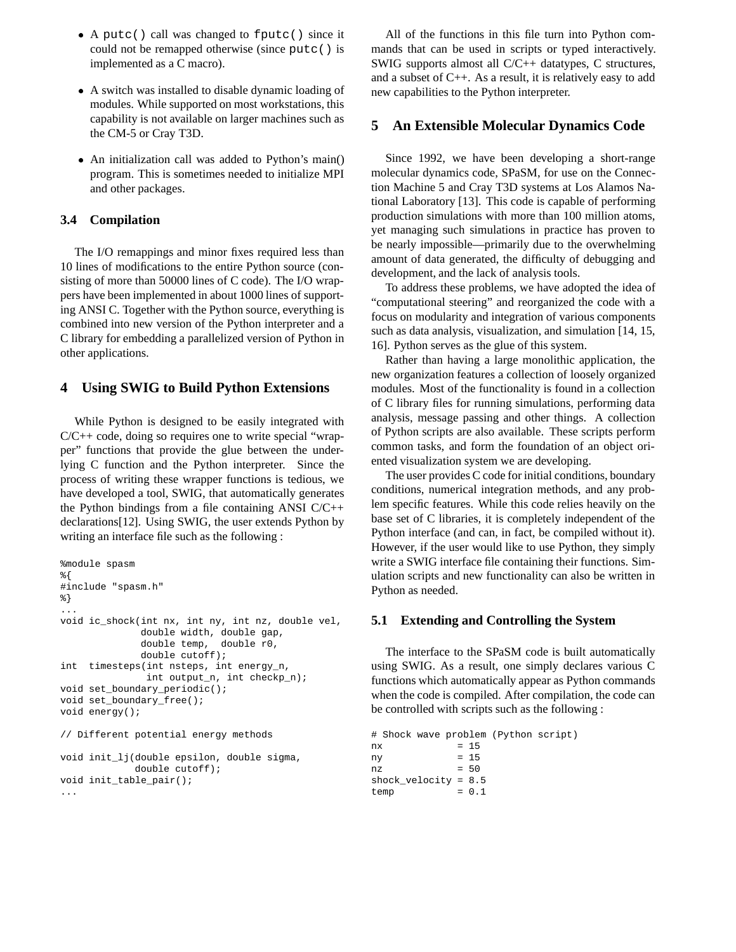- A putc() call was changed to fputc() since it could not be remapped otherwise (since putc() is implemented as a C macro).
- A switch was installed to disable dynamic loading of modules. While supported on most workstations, this capability is not available on larger machines such as the CM-5 or Cray T3D.
- An initialization call was added to Python's main() program. This is sometimes needed to initialize MPI and other packages.

#### **3.4 Compilation**

The I/O remappings and minor fixes required less than 10 lines of modifications to the entire Python source (consisting of more than 50000 lines of C code). The I/O wrappers have been implemented in about 1000 lines of supporting ANSI C. Together with the Python source, everything is combined into new version of the Python interpreter and a C library for embedding a parallelized version of Python in other applications.

## **4 Using SWIG to Build Python Extensions**

While Python is designed to be easily integrated with  $C/C++$  code, doing so requires one to write special "wrapper" functions that provide the glue between the underlying C function and the Python interpreter. Since the process of writing these wrapper functions is tedious, we have developed a tool, SWIG, that automatically generates the Python bindings from a file containing ANSI C/C++ declarations[12]. Using SWIG, the user extends Python by writing an interface file such as the following :

```
%module spasm
%{
#include "spasm.h"
%}
...
void ic_shock(int nx, int ny, int nz, double vel,
              double width, double gap,
              double temp, double r0,
              double cutoff);
int timesteps(int nsteps, int energy_n,
               int output_n, int checkp_n);
void set_boundary_periodic();
void set_boundary_free();
void energy();
// Different potential energy methods
void init_lj(double epsilon, double sigma,
             double cutoff);
void init_table_pair();
...
```
All of the functions in this file turn into Python commands that can be used in scripts or typed interactively. SWIG supports almost all C/C++ datatypes, C structures, and a subset of C++. As a result, it is relatively easy to add new capabilities to the Python interpreter.

#### **5 An Extensible Molecular Dynamics Code**

Since 1992, we have been developing a short-range molecular dynamics code, SPaSM, for use on the Connection Machine 5 and Cray T3D systems at Los Alamos National Laboratory [13]. This code is capable of performing production simulations with more than 100 million atoms, yet managing such simulations in practice has proven to be nearly impossible—primarily due to the overwhelming amount of data generated, the difficulty of debugging and development, and the lack of analysis tools.

To address these problems, we have adopted the idea of "computational steering" and reorganized the code with a focus on modularity and integration of various components such as data analysis, visualization, and simulation [14, 15, 16]. Python serves as the glue of this system.

Rather than having a large monolithic application, the new organization features a collection of loosely organized modules. Most of the functionality is found in a collection of C library files for running simulations, performing data analysis, message passing and other things. A collection of Python scripts are also available. These scripts perform common tasks, and form the foundation of an object oriented visualization system we are developing.

The user provides C code for initial conditions, boundary conditions, numerical integration methods, and any problem specific features. While this code relies heavily on the base set of C libraries, it is completely independent of the Python interface (and can, in fact, be compiled without it). However, if the user would like to use Python, they simply write a SWIG interface file containing their functions. Simulation scripts and new functionality can also be written in Python as needed.

#### **5.1 Extending and Controlling the System**

The interface to the SPaSM code is built automatically using SWIG. As a result, one simply declares various C functions which automatically appear as Python commands when the code is compiled. After compilation, the code can be controlled with scripts such as the following :

```
# Shock wave problem (Python script)
nx = 15ny = 15nz = 50shock_velocity = 8.5
temp = 0.1
```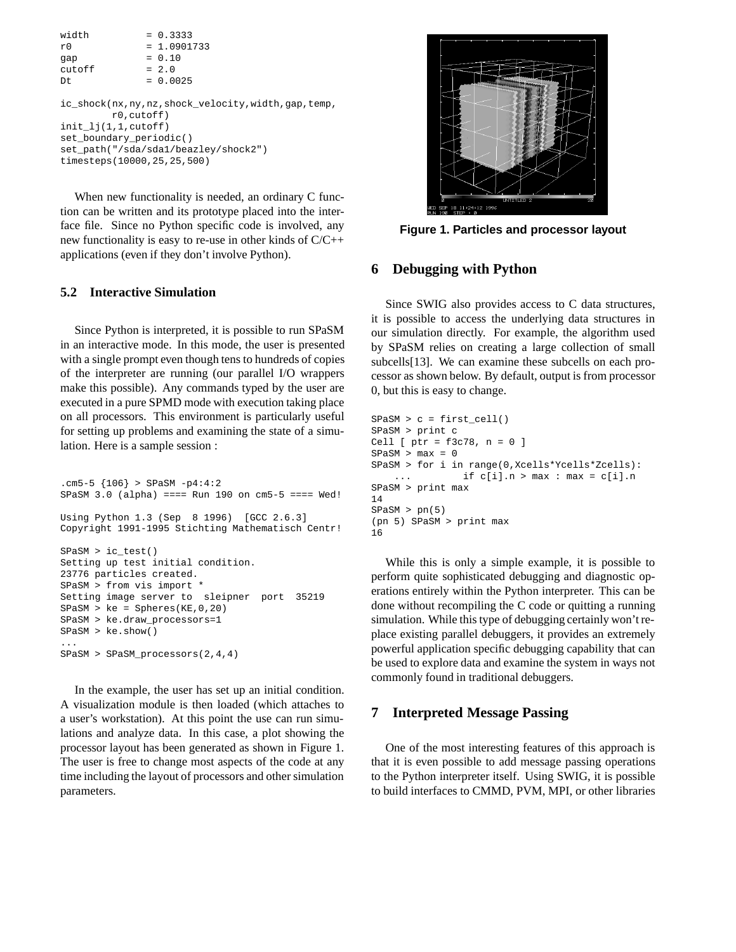```
width = 0.3333<br>
r0 = 1.0901= 1.0901733qap = 0.10cutoff = 2.0
Dt = 0.0025ic_shock(nx,ny,nz,shock_velocity,width,gap,temp,
        r0,cutoff)
init_lj(1,1,cutoff)
set_boundary_periodic()
set_path("/sda/sda1/beazley/shock2")
timesteps(10000,25,25,500)
```
When new functionality is needed, an ordinary C function can be written and its prototype placed into the interface file. Since no Python specific code is involved, any new functionality is easy to re-use in other kinds of C/C++ applications (even if they don't involve Python).

#### **5.2 Interactive Simulation**

Since Python is interpreted, it is possible to run SPaSM in an interactive mode. In this mode, the user is presented with a single prompt even though tens to hundreds of copies of the interpreter are running (our parallel I/O wrappers make this possible). Any commands typed by the user are executed in a pure SPMD mode with execution taking place on all processors. This environment is particularly useful for setting up problems and examining the state of a simulation. Here is a sample session :

```
.cm5-5 {106} > SPaSM -p4:4:2SPaSM 3.0 (alpha) ==== Run 190 on cm5-5 ==== Wed!
Using Python 1.3 (Sep 8 1996) [GCC 2.6.3]
Copyright 1991-1995 Stichting Mathematisch Centr!
SPaSM > ic_test()
Setting up test initial condition.
23776 particles created.
SPaSM > from vis import *
Setting image server to sleipner port 35219
SPaSM > ke = Spheres(KE, 0, 20)SPaSM > ke.draw_processors=1
SPaSM > ke.show()
...
SPaSM > SPaSM_processors(2,4,4)
```
In the example, the user has set up an initial condition. A visualization module is then loaded (which attaches to a user's workstation). At this point the use can run simulations and analyze data. In this case, a plot showing the processor layout has been generated as shown in Figure 1. The user is free to change most aspects of the code at any time including the layout of processors and other simulation parameters.



**Figure 1. Particles and processor layout**

#### **6 Debugging with Python**

Since SWIG also provides access to C data structures, it is possible to access the underlying data structures in our simulation directly. For example, the algorithm used by SPaSM relies on creating a large collection of small subcells[13]. We can examine these subcells on each processor as shown below. By default, output is from processor 0, but this is easy to change.

```
SPaSM > c = first_cell()
SPaSM > print c
Cell [ ptr = f3c78, n = 0 ]
SPaSM > max = 0
SPaSM > for i in range(0,Xcells*Ycells*Zcells):
                if c[i].n > max : max = c[i].nSPaSM > print max
14
SPaSM > pn(5)
(pn 5) SPaSM > print max
16
```
While this is only a simple example, it is possible to perform quite sophisticated debugging and diagnostic operations entirely within the Python interpreter. This can be done without recompiling the C code or quitting a running simulation. While this type of debugging certainly won't replace existing parallel debuggers, it provides an extremely powerful application specific debugging capability that can be used to explore data and examine the system in ways not commonly found in traditional debuggers.

#### **7 Interpreted Message Passing**

One of the most interesting features of this approach is that it is even possible to add message passing operations to the Python interpreter itself. Using SWIG, it is possible to build interfaces to CMMD, PVM, MPI, or other libraries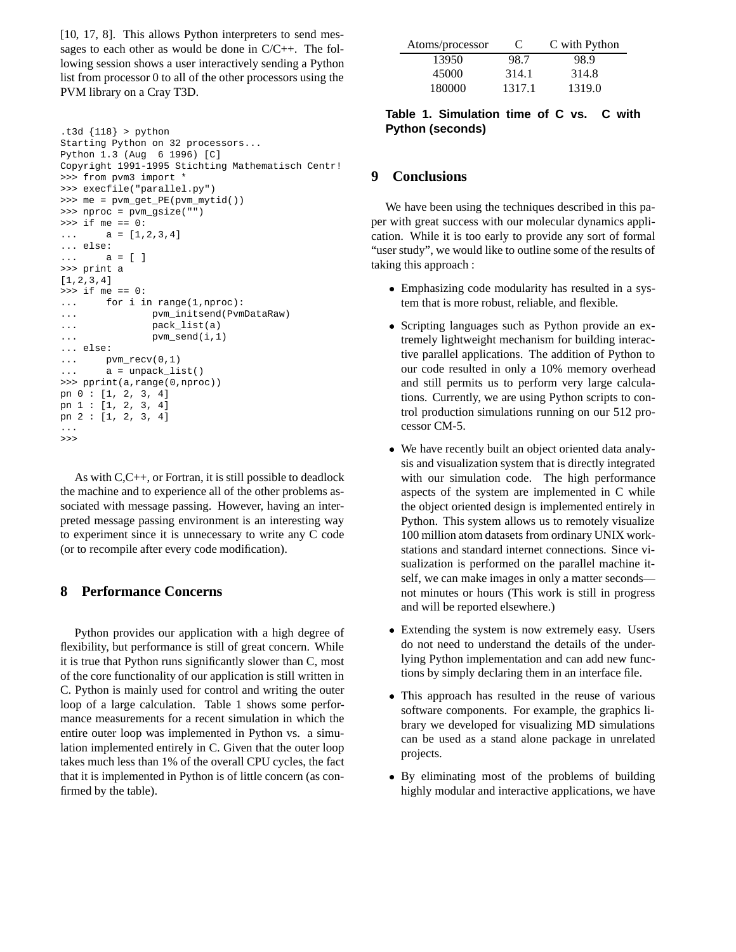[10, 17, 8]. This allows Python interpreters to send messages to each other as would be done in  $C/C++$ . The following session shows a user interactively sending a Python list from processor 0 to all of the other processors using the PVM library on a Cray T3D.

```
.t3d {118} > python
Starting Python on 32 processors...
Python 1.3 (Aug 6 1996) [C]
Copyright 1991-1995 Stichting Mathematisch Centr!
>>> from pvm3 import *
>>> execfile("parallel.py")
>>> me = pvm_get_PE(pvm_mytid())
>>> nproc = pvm_gsize("")
>>> if me == 0:
... a = [1, 2, 3, 4]... else:
... a = [ ]
>>> print a
[1,2,3,4]
>>> if me == 0:
... for i in range(1,nproc):
... pvm_initsend(PvmDataRaw)
... pack_list(a)
... pvm_send(i,1)
... else:
... pvm_recv(0,1)
... a = unpack_list()
>>> pprint(a,range(0,nproc))
pn 0 : [1, 2, 3, 4]
pn 1 : [1, 2, 3, 4]
pn 2 : [1, 2, 3, 4]
...
>>>
```
As with C,C++, or Fortran, it is still possible to deadlock the machine and to experience all of the other problems associated with message passing. However, having an interpreted message passing environment is an interesting way to experiment since it is unnecessary to write any C code (or to recompile after every code modification).

# **8 Performance Concerns**

Python provides our application with a high degree of flexibility, but performance is still of great concern. While it is true that Python runs significantly slower than C, most of the core functionality of our application is still written in C. Python is mainly used for control and writing the outer loop of a large calculation. Table 1 shows some performance measurements for a recent simulation in which the entire outer loop was implemented in Python vs. a simulation implemented entirely in C. Given that the outer loop takes much less than 1% of the overall CPU cycles, the fact that it is implemented in Python is of little concern (as confirmed by the table).

| Atoms/processor | $\mathbf C$ | C with Python |
|-----------------|-------------|---------------|
| 13950           | 98.7        | 98.9          |
| 45000           | 314.1       | 314.8         |
| 180000          | 1317.1      | 1319.0        |

**Table 1. Simulation time of C vs. C with Python (seconds)**

#### **9 Conclusions**

We have been using the techniques described in this paper with great success with our molecular dynamics application. While it is too early to provide any sort of formal "user study", we would like to outline some of the results of taking this approach :

- Emphasizing code modularity has resulted in a system that is more robust, reliable, and flexible.
- Scripting languages such as Python provide an extremely lightweight mechanism for building interactive parallel applications. The addition of Python to our code resulted in only a 10% memory overhead and still permits us to perform very large calculations. Currently, we are using Python scripts to control production simulations running on our 512 processor CM-5.
- We have recently built an object oriented data analysis and visualization system that is directly integrated with our simulation code. The high performance aspects of the system are implemented in C while the object oriented design is implemented entirely in Python. This system allows us to remotely visualize 100 million atom datasets from ordinary UNIX workstations and standard internet connections. Since visualization is performed on the parallel machine itself, we can make images in only a matter seconds not minutes or hours (This work is still in progress and will be reported elsewhere.)
- Extending the system is now extremely easy. Users do not need to understand the details of the underlying Python implementation and can add new functions by simply declaring them in an interface file.
- This approach has resulted in the reuse of various software components. For example, the graphics library we developed for visualizing MD simulations can be used as a stand alone package in unrelated projects.
- By eliminating most of the problems of building highly modular and interactive applications, we have